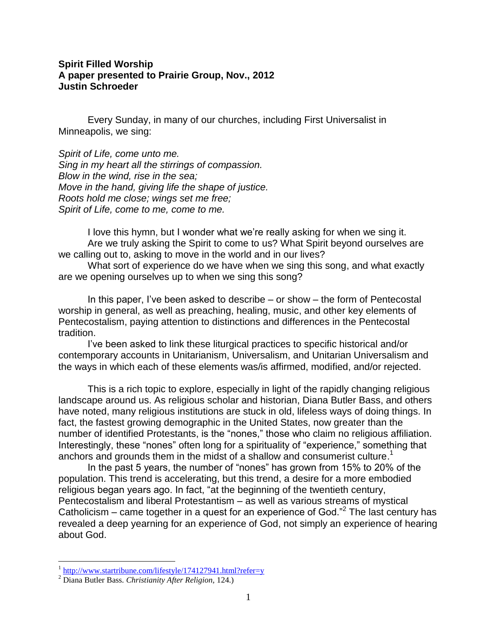# **Spirit Filled Worship A paper presented to Prairie Group, Nov., 2012 Justin Schroeder**

Every Sunday, in many of our churches, including First Universalist in Minneapolis, we sing:

*Spirit of Life, come unto me. Sing in my heart all the stirrings of compassion. Blow in the wind, rise in the sea; Move in the hand, giving life the shape of justice. Roots hold me close; wings set me free; Spirit of Life, come to me, come to me.*

I love this hymn, but I wonder what we're really asking for when we sing it. Are we truly asking the Spirit to come to us? What Spirit beyond ourselves are we calling out to, asking to move in the world and in our lives?

What sort of experience do we have when we sing this song, and what exactly are we opening ourselves up to when we sing this song?

In this paper, I've been asked to describe – or show – the form of Pentecostal worship in general, as well as preaching, healing, music, and other key elements of Pentecostalism, paying attention to distinctions and differences in the Pentecostal tradition.

I've been asked to link these liturgical practices to specific historical and/or contemporary accounts in Unitarianism, Universalism, and Unitarian Universalism and the ways in which each of these elements was/is affirmed, modified, and/or rejected.

This is a rich topic to explore, especially in light of the rapidly changing religious landscape around us. As religious scholar and historian, Diana Butler Bass, and others have noted, many religious institutions are stuck in old, lifeless ways of doing things. In fact, the fastest growing demographic in the United States, now greater than the number of identified Protestants, is the "nones," those who claim no religious affiliation. Interestingly, these "nones" often long for a spirituality of "experience," something that anchors and grounds them in the midst of a shallow and consumerist culture. 1

In the past 5 years, the number of "nones" has grown from 15% to 20% of the population. This trend is accelerating, but this trend, a desire for a more embodied religious began years ago. In fact, "at the beginning of the twentieth century, Pentecostalism and liberal Protestantism – as well as various streams of mystical Catholicism  $-$  came together in a quest for an experience of God."<sup>2</sup> The last century has revealed a deep yearning for an experience of God, not simply an experience of hearing about God.

<sup>&</sup>lt;sup>1</sup> <http://www.startribune.com/lifestyle/174127941.html?refer=y>

<sup>2</sup> Diana Butler Bass. *Christianity After Religion,* 124.)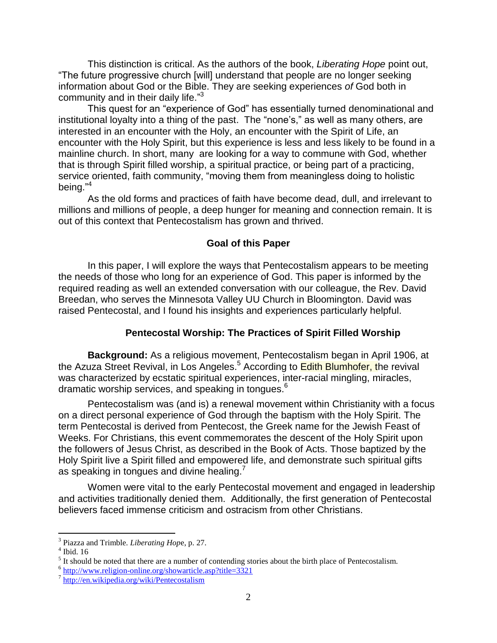This distinction is critical. As the authors of the book, *Liberating Hope* point out, "The future progressive church [will] understand that people are no longer seeking information about God or the Bible. They are seeking experiences *of* God both in community and in their daily life."<sup>3</sup>

This quest for an "experience of God" has essentially turned denominational and institutional loyalty into a thing of the past. The "none's," as well as many others, are interested in an encounter with the Holy, an encounter with the Spirit of Life, an encounter with the Holy Spirit, but this experience is less and less likely to be found in a mainline church. In short, many are looking for a way to commune with God, whether that is through Spirit filled worship, a spiritual practice, or being part of a practicing, service oriented, faith community, "moving them from meaningless doing to holistic being." 4

As the old forms and practices of faith have become dead, dull, and irrelevant to millions and millions of people, a deep hunger for meaning and connection remain. It is out of this context that Pentecostalism has grown and thrived.

### **Goal of this Paper**

In this paper, I will explore the ways that Pentecostalism appears to be meeting the needs of those who long for an experience of God. This paper is informed by the required reading as well an extended conversation with our colleague, the Rev. David Breedan, who serves the Minnesota Valley UU Church in Bloomington. David was raised Pentecostal, and I found his insights and experiences particularly helpful.

#### **Pentecostal Worship: The Practices of Spirit Filled Worship**

**Background:** As a religious movement, Pentecostalism began in April 1906, at the Azuza Street Revival, in Los Angeles.<sup>5</sup> According to **Edith Blumhofer, the revival** was characterized by ecstatic spiritual experiences, inter-racial mingling, [miracles,](http://en.wikipedia.org/wiki/Miracles) dramatic worship services, and [speaking in tongues.](http://en.wikipedia.org/wiki/Glossolalia) 6

Pentecostalism was (and is) a renewal movement within [Christianity](http://en.wikipedia.org/wiki/Christianity) with a focus on a direct personal experience of [God](http://en.wikipedia.org/wiki/God_in_Christianity) through the [baptism with the Holy Spirit.](http://en.wikipedia.org/wiki/Baptism_with_the_Holy_Spirit) The term Pentecostal is derived from [Pentecost,](http://en.wikipedia.org/wiki/Pentecost) the [Greek](http://en.wikipedia.org/wiki/Greek_language) name for the Jewish [Feast of](http://en.wikipedia.org/wiki/Feast_of_Weeks)  [Weeks.](http://en.wikipedia.org/wiki/Feast_of_Weeks) For Christians, this event commemorates the descent of the [Holy Spirit](http://en.wikipedia.org/wiki/Holy_Spirit_(Christianity)) upon the followers of [Jesus Christ,](http://en.wikipedia.org/wiki/Jesus_Christ) as described in the [Book of Acts.](http://en.wikipedia.org/wiki/Book_of_Acts) Those baptized by the Holy Spirit live a Spirit filled and empowered life, and demonstrate such spiritual gifts as [speaking in tongues](http://en.wikipedia.org/wiki/Speaking_in_tongues) and [divine healing.](http://en.wikipedia.org/wiki/Divine_healing)<sup>7</sup>

Women were vital to the early Pentecostal movement and engaged in leadership and activities traditionally denied them. Additionally, the first generation of Pentecostal believers faced immense criticism and ostracism from other Christians.

<sup>3</sup> Piazza and Trimble. *Liberating Hop*e, p. 27.

<sup>4</sup> Ibid. 16

 $<sup>5</sup>$  It should be noted that there are a number of contending stories about the birth place of Pentecostalism.</sup>

<sup>&</sup>lt;sup>6</sup> <http://www.religion-online.org/showarticle.asp?title=3321>

<sup>&</sup>lt;sup>7</sup> <http://en.wikipedia.org/wiki/Pentecostalism>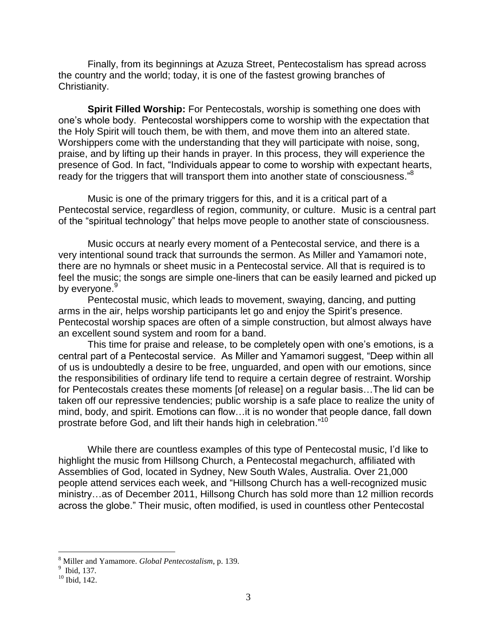Finally, from its beginnings at Azuza Street, Pentecostalism has spread across the country and the world; today, it is one of the fastest growing branches of Christianity.

**Spirit Filled Worship:** For Pentecostals, worship is something one does with one's whole body. Pentecostal worshippers come to worship with the expectation that the Holy Spirit will touch them, be with them, and move them into an altered state. Worshippers come with the understanding that they will participate with noise, song, praise, and by lifting up their hands in prayer. In this process, they will experience the presence of God. In fact, "Individuals appear to come to worship with expectant hearts, ready for the triggers that will transport them into another state of consciousness."<sup>8</sup>

Music is one of the primary triggers for this, and it is a critical part of a Pentecostal service, regardless of region, community, or culture. Music is a central part of the "spiritual technology" that helps move people to another state of consciousness.

Music occurs at nearly every moment of a Pentecostal service, and there is a very intentional sound track that surrounds the sermon. As Miller and Yamamori note, there are no hymnals or sheet music in a Pentecostal service. All that is required is to feel the music; the songs are simple one-liners that can be easily learned and picked up by everyone.<sup>9</sup>

Pentecostal music, which leads to movement, swaying, dancing, and putting arms in the air, helps worship participants let go and enjoy the Spirit's presence. Pentecostal worship spaces are often of a simple construction, but almost always have an excellent sound system and room for a band.

This time for praise and release, to be completely open with one's emotions, is a central part of a Pentecostal service. As Miller and Yamamori suggest, "Deep within all of us is undoubtedly a desire to be free, unguarded, and open with our emotions, since the responsibilities of ordinary life tend to require a certain degree of restraint. Worship for Pentecostals creates these moments [of release] on a regular basis…The lid can be taken off our repressive tendencies; public worship is a safe place to realize the unity of mind, body, and spirit. Emotions can flow…it is no wonder that people dance, fall down prostrate before God, and lift their hands high in celebration."<sup>10</sup>

While there are countless examples of this type of Pentecostal music, I'd like to highlight the music from Hillsong Church, a Pentecostal megachurch, affiliated with Assemblies of God, located in Sydney, New South Wales, Australia. Over 21,000 people attend services each week, and "Hillsong Church has a well-recognized music ministry…as of December 2011, Hillsong Church has sold more than 12 million records across the globe." Their music, often modified, is used in countless other Pentecostal

<sup>&</sup>lt;sup>8</sup> Miller and Yamamore. *Global Pentecostalism*, p. 139.<br><sup>9</sup> Ibid, 137.

 $10$  Ibid, 142.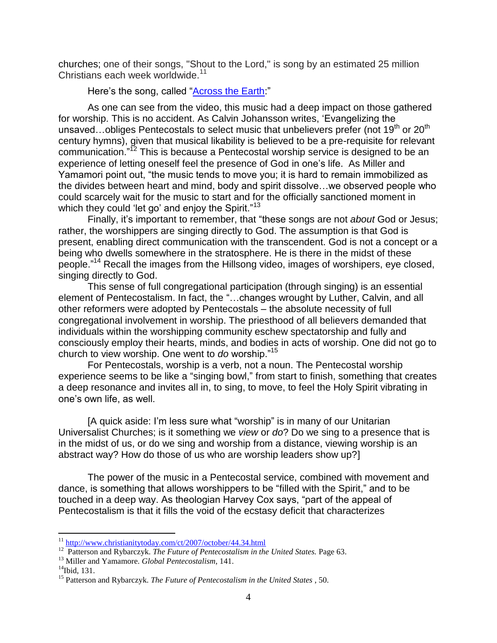churches; one of their songs, "Shout to the Lord," is song by an estimated 25 million Christians each week worldwide.<sup>11</sup>

Here's the song, called "Across the Earth."

As one can see from the video, this music had a deep impact on those gathered for worship. This is no accident. As Calvin Johansson writes, 'Evangelizing the unsaved...obliges Pentecostals to select music that unbelievers prefer (not 19<sup>th</sup> or 20<sup>th</sup> century hymns), given that musical likability is believed to be a pre-requisite for relevant communication." <sup>12</sup> This is because a Pentecostal worship service is designed to be an experience of letting oneself feel the presence of God in one's life. As Miller and Yamamori point out, "the music tends to move you; it is hard to remain immobilized as the divides between heart and mind, body and spirit dissolve…we observed people who could scarcely wait for the music to start and for the officially sanctioned moment in which they could 'let go' and enjoy the Spirit."<sup>13</sup>

Finally, it's important to remember, that "these songs are not *about* God or Jesus; rather, the worshippers are singing directly to God. The assumption is that God is present, enabling direct communication with the transcendent. God is not a concept or a being who dwells somewhere in the stratosphere. He is there in the midst of these people."<sup>14</sup> Recall the images from the Hillsong video, images of worshipers, eye closed, singing directly to God.

This sense of full congregational participation (through singing) is an essential element of Pentecostalism. In fact, the "…changes wrought by Luther, Calvin, and all other reformers were adopted by Pentecostals – the absolute necessity of full congregational involvement in worship. The priesthood of all believers demanded that individuals within the worshipping community eschew spectatorship and fully and consciously employ their hearts, minds, and bodies in acts of worship. One did not go to church to view worship. One went to *do* worship."<sup>15</sup>

For Pentecostals, worship is a verb, not a noun. The Pentecostal worship experience seems to be like a "singing bowl," from start to finish, something that creates a deep resonance and invites all in, to sing, to move, to feel the Holy Spirit vibrating in one's own life, as well.

[A quick aside: I'm less sure what "worship" is in many of our Unitarian Universalist Churches; is it something we *view* or *do*? Do we sing to a presence that is in the midst of us, or do we sing and worship from a distance, viewing worship is an abstract way? How do those of us who are worship leaders show up?]

The power of the music in a Pentecostal service, combined with movement and dance, is something that allows worshippers to be "filled with the Spirit," and to be touched in a deep way. As theologian Harvey Cox says, "part of the appeal of Pentecostalism is that it fills the void of the ecstasy deficit that characterizes

<sup>&</sup>lt;sup>11</sup> <http://www.christianitytoday.com/ct/2007/october/44.34.html><br><sup>12</sup> Patterson and Rybarczyk. *The Future of Pentecostalism in the United States*. Page 63.

<sup>13</sup> Miller and Yamamore. *Global Pentecostalism*, 141.

 $14$ Ibid, 131.

<sup>15</sup> Patterson and Rybarczyk. *The Future of Pentecostalism in the United States* , 50.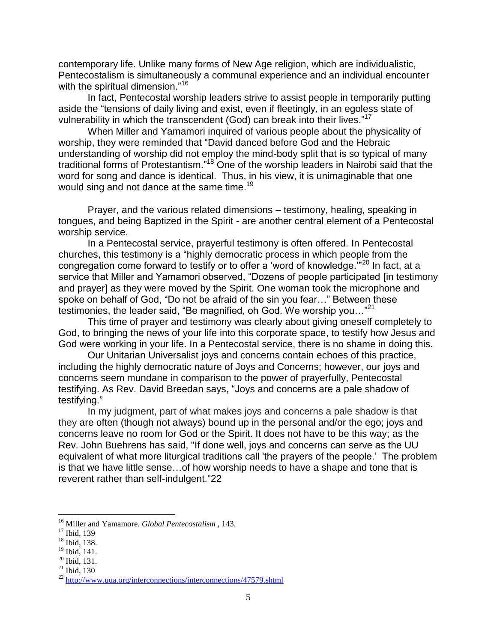contemporary life. Unlike many forms of New Age religion, which are individualistic, Pentecostalism is simultaneously a communal experience and an individual encounter with the spiritual dimension."<sup>16</sup>

In fact, Pentecostal worship leaders strive to assist people in temporarily putting aside the "tensions of daily living and exist, even if fleetingly, in an egoless state of vulnerability in which the transcendent (God) can break into their lives."<sup>17</sup>

When Miller and Yamamori inquired of various people about the physicality of worship, they were reminded that "David danced before God and the Hebraic understanding of worship did not employ the mind-body split that is so typical of many traditional forms of Protestantism."<sup>18</sup> One of the worship leaders in Nairobi said that the word for song and dance is identical. Thus, in his view, it is unimaginable that one would sing and not dance at the same time.<sup>19</sup>

Prayer, and the various related dimensions – testimony, healing, speaking in tongues, and being Baptized in the Spirit - are another central element of a Pentecostal worship service.

In a Pentecostal service, prayerful testimony is often offered. In Pentecostal churches, this testimony is a "highly democratic process in which people from the congregation come forward to testify or to offer a 'word of knowledge.'"<sup>20</sup> In fact, at a service that Miller and Yamamori observed, "Dozens of people participated [in testimony and prayer] as they were moved by the Spirit. One woman took the microphone and spoke on behalf of God, "Do not be afraid of the sin you fear…" Between these testimonies, the leader said, "Be magnified, oh God. We worship you…"<sup>21</sup>

This time of prayer and testimony was clearly about giving oneself completely to God, to bringing the news of your life into this corporate space, to testify how Jesus and God were working in your life. In a Pentecostal service, there is no shame in doing this.

Our Unitarian Universalist joys and concerns contain echoes of this practice, including the highly democratic nature of Joys and Concerns; however, our joys and concerns seem mundane in comparison to the power of prayerfully, Pentecostal testifying. As Rev. David Breedan says, "Joys and concerns are a pale shadow of testifying."

In my judgment, part of what makes joys and concerns a pale shadow is that they are often (though not always) bound up in the personal and/or the ego; joys and concerns leave no room for God or the Spirit. It does not have to be this way; as the Rev. John Buehrens has said, "If done well, joys and concerns can serve as the UU equivalent of what more liturgical traditions call 'the prayers of the people.' The problem is that we have little sense…of how worship needs to have a shape and tone that is reverent rather than self-indulgent."22

<sup>16</sup> Miller and Yamamore. *Global Pentecostalism* , 143.

<sup>17</sup> Ibid*,* 139

<sup>18</sup> Ibid, 138.

<sup>19</sup> Ibid, 141.

 $20$  Ibid, 131.

 $21$  Ibid, 130

<sup>&</sup>lt;sup>22</sup> <http://www.uua.org/interconnections/interconnections/47579.shtml>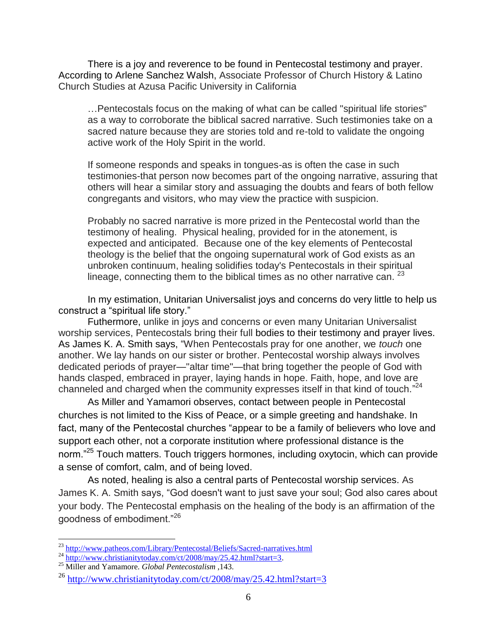There is a joy and reverence to be found in Pentecostal testimony and prayer. According to [Arlene Sanchez Walsh,](http://www.patheos.com/About-Patheos/Arlene-Sanchez-Walsh.html) Associate Professor of Church History & Latino Church Studies at Azusa Pacific University in California

…Pentecostals focus on the making of what can be called "spiritual life stories" as a way to corroborate the biblical sacred narrative. Such testimonies take on a sacred nature because they are stories told and re-told to validate the ongoing active work of the Holy Spirit in the world.

If someone responds and speaks in tongues-as is often the case in such testimonies-that person now becomes part of the ongoing narrative, assuring that others will hear a similar story and assuaging the doubts and fears of both fellow congregants and visitors, who may view the practice with suspicion.

Probably no sacred narrative is more prized in the Pentecostal world than the testimony of healing. Physical healing, provided for in the atonement, is expected and anticipated. Because one of the key elements of Pentecostal theology is the belief that the ongoing supernatural work of God exists as an unbroken continuum, healing solidifies today's Pentecostals in their spiritual lineage, connecting them to the biblical times as no other narrative can.  $2^3$ 

In my estimation, Unitarian Universalist joys and concerns do very little to help us construct a "spiritual life story."

Futhermore, unlike in joys and concerns or even many Unitarian Universalist worship services, Pentecostals bring their full bodies to their testimony and prayer lives. As James K. A. Smith says, "When Pentecostals pray for one another, we *touch* one another. We lay hands on our sister or brother. Pentecostal worship always involves dedicated periods of prayer—"altar time"—that bring together the people of God with hands clasped, embraced in prayer, laying hands in hope. Faith, hope, and love are channeled and charged when the community expresses itself in that kind of touch."<sup>24</sup>

As Miller and Yamamori observes, contact between people in Pentecostal churches is not limited to the Kiss of Peace, or a simple greeting and handshake. In fact, many of the Pentecostal churches "appear to be a family of believers who love and support each other, not a corporate institution where professional distance is the norm."<sup>25</sup> Touch matters. Touch triggers hormones, including oxytocin, which can provide a sense of comfort, calm, and of being loved.

As noted, healing is also a central parts of Pentecostal worship services. As James K. A. Smith says, "God doesn't want to just save your soul; God also cares about your body. The Pentecostal emphasis on the healing of the body is an affirmation of the goodness of embodiment."<sup>26</sup>

<sup>&</sup>lt;sup>23</sup> <http://www.patheos.com/Library/Pentecostal/Beliefs/Sacred-narratives.html>

 $^{24}$  http://www.panieos.com/Lionary/1 chrocosum/Lionary/25.42.html?start=3.

<sup>25</sup> Miller and Yamamore. *Global Pentecostalism* ,143.

 $^{26}$  <http://www.christianitytoday.com/ct/2008/may/25.42.html?start=3>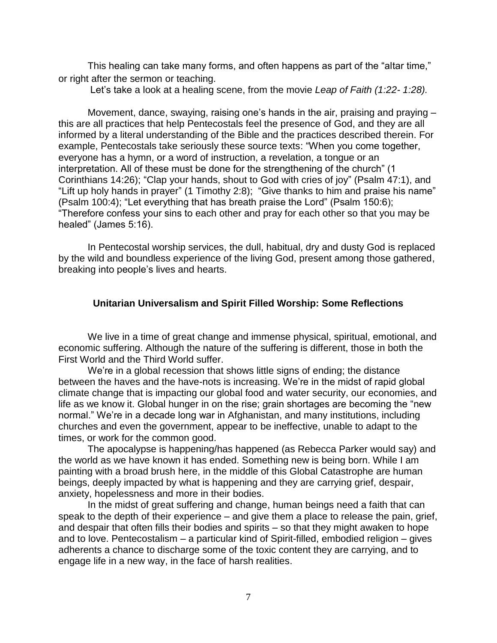This healing can take many forms, and often happens as part of the "altar time," or right after the sermon or teaching.

Let's take a look at a healing scene, from the movie *Leap of Faith (1:22- 1:28).*

Movement, dance, swaying, raising one's hands in the air, praising and praying – this are all practices that help Pentecostals feel the presence of God, and they are all informed by a literal understanding of the Bible and the practices described therein. For example, Pentecostals take seriously these source texts: "When you come together, everyone has a hymn, or a word of instruction, a revelation, a tongue or an interpretation. All of these must be done for the strengthening of the church" (1 Corinthians 14:26); "Clap your hands, shout to God with cries of joy" (Psalm 47:1), and "Lift up holy hands in prayer" (1 Timothy 2:8); "Give thanks to him and praise his name" (Psalm 100:4); "Let everything that has breath praise the Lord" (Psalm 150:6); "Therefore confess your sins to each other and pray for each other so that you may be healed" (James 5:16).

In Pentecostal worship services, the dull, habitual, dry and dusty God is replaced by the wild and boundless experience of the living God, present among those gathered, breaking into people's lives and hearts.

# **Unitarian Universalism and Spirit Filled Worship: Some Reflections**

We live in a time of great change and immense physical, spiritual, emotional, and economic suffering. Although the nature of the suffering is different, those in both the First World and the Third World suffer.

We're in a global recession that shows little signs of ending; the distance between the haves and the have-nots is increasing. We're in the midst of rapid global climate change that is impacting our global food and water security, our economies, and life as we know it. Global hunger in on the rise; grain shortages are becoming the "new normal." We're in a decade long war in Afghanistan, and many institutions, including churches and even the government, appear to be ineffective, unable to adapt to the times, or work for the common good.

The apocalypse is happening/has happened (as Rebecca Parker would say) and the world as we have known it has ended. Something new is being born. While I am painting with a broad brush here, in the middle of this Global Catastrophe are human beings, deeply impacted by what is happening and they are carrying grief, despair, anxiety, hopelessness and more in their bodies.

In the midst of great suffering and change, human beings need a faith that can speak to the depth of their experience – and give them a place to release the pain, grief, and despair that often fills their bodies and spirits – so that they might awaken to hope and to love. Pentecostalism – a particular kind of Spirit-filled, embodied religion – gives adherents a chance to discharge some of the toxic content they are carrying, and to engage life in a new way, in the face of harsh realities.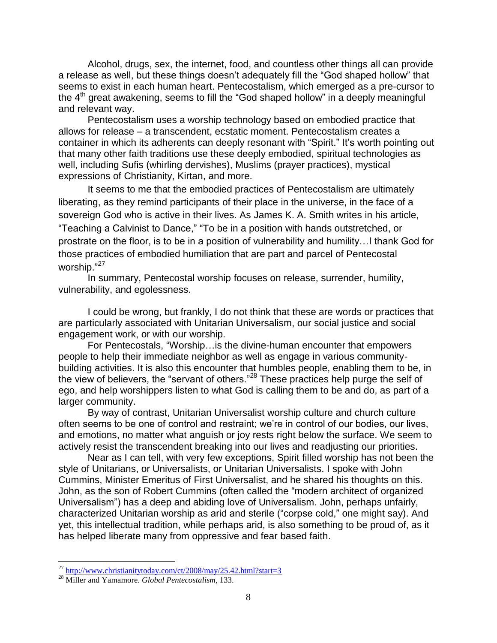Alcohol, drugs, sex, the internet, food, and countless other things all can provide a release as well, but these things doesn't adequately fill the "God shaped hollow" that seems to exist in each human heart. Pentecostalism, which emerged as a pre-cursor to the 4<sup>th</sup> great awakening, seems to fill the "God shaped hollow" in a deeply meaningful and relevant way.

Pentecostalism uses a worship technology based on embodied practice that allows for release – a transcendent, ecstatic moment. Pentecostalism creates a container in which its adherents can deeply resonant with "Spirit." It's worth pointing out that many other faith traditions use these deeply embodied, spiritual technologies as well, including Sufis (whirling dervishes), Muslims (prayer practices), mystical expressions of Christianity, Kirtan, and more.

It seems to me that the embodied practices of Pentecostalism are ultimately liberating, as they remind participants of their place in the universe, in the face of a sovereign God who is active in their lives. As James K. A. Smith writes in his article, "Teaching a Calvinist to Dance," "To be in a position with hands outstretched, or prostrate on the floor, is to be in a position of vulnerability and humility…I thank God for those practices of embodied humiliation that are part and parcel of Pentecostal worship."<sup>27</sup>

In summary, Pentecostal worship focuses on release, surrender, humility, vulnerability, and egolessness.

I could be wrong, but frankly, I do not think that these are words or practices that are particularly associated with Unitarian Universalism, our social justice and social engagement work, or with our worship.

For Pentecostals, "Worship…is the divine-human encounter that empowers people to help their immediate neighbor as well as engage in various communitybuilding activities. It is also this encounter that humbles people, enabling them to be, in the view of believers, the "servant of others."<sup>28</sup> These practices help purge the self of ego, and help worshippers listen to what God is calling them to be and do, as part of a larger community.

By way of contrast, Unitarian Universalist worship culture and church culture often seems to be one of control and restraint; we're in control of our bodies, our lives, and emotions, no matter what anguish or joy rests right below the surface. We seem to actively resist the transcendent breaking into our lives and readjusting our priorities.

Near as I can tell, with very few exceptions, Spirit filled worship has not been the style of Unitarians, or Universalists, or Unitarian Universalists. I spoke with John Cummins, Minister Emeritus of First Universalist, and he shared his thoughts on this. John, as the son of Robert Cummins (often called the "modern architect of organized Universalism") has a deep and abiding love of Universalism. John, perhaps unfairly, characterized Unitarian worship as arid and sterile ("corpse cold," one might say). And yet, this intellectual tradition, while perhaps arid, is also something to be proud of, as it has helped liberate many from oppressive and fear based faith.

<sup>&</sup>lt;sup>27</sup> <http://www.christianitytoday.com/ct/2008/may/25.42.html?start=3>

<sup>28</sup> Miller and Yamamore. *Global Pentecostalism*, 133.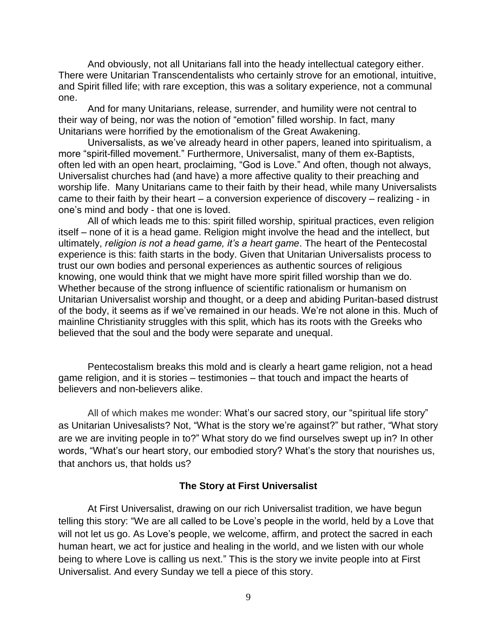And obviously, not all Unitarians fall into the heady intellectual category either. There were Unitarian Transcendentalists who certainly strove for an emotional, intuitive, and Spirit filled life; with rare exception, this was a solitary experience, not a communal one.

And for many Unitarians, release, surrender, and humility were not central to their way of being, nor was the notion of "emotion" filled worship. In fact, many Unitarians were horrified by the emotionalism of the Great Awakening.

Universalists, as we've already heard in other papers, leaned into spiritualism, a more "spirit-filled movement." Furthermore, Universalist, many of them ex-Baptists, often led with an open heart, proclaiming, "God is Love." And often, though not always, Universalist churches had (and have) a more affective quality to their preaching and worship life. Many Unitarians came to their faith by their head, while many Universalists came to their faith by their heart – a conversion experience of discovery – realizing - in one's mind and body - that one is loved.

All of which leads me to this: spirit filled worship, spiritual practices, even religion itself – none of it is a head game. Religion might involve the head and the intellect, but ultimately, *religion is not a head game, it's a heart game*. The heart of the Pentecostal experience is this: faith starts in the body. Given that Unitarian Universalists process to trust our own bodies and personal experiences as authentic sources of religious knowing, one would think that we might have more spirit filled worship than we do. Whether because of the strong influence of scientific rationalism or humanism on Unitarian Universalist worship and thought, or a deep and abiding Puritan-based distrust of the body, it seems as if we've remained in our heads. We're not alone in this. Much of mainline Christianity struggles with this split, which has its roots with the Greeks who believed that the soul and the body were separate and unequal.

Pentecostalism breaks this mold and is clearly a heart game religion, not a head game religion, and it is stories – testimonies – that touch and impact the hearts of believers and non-believers alike.

All of which makes me wonder: What's our sacred story, our "spiritual life story" as Unitarian Univesalists? Not, "What is the story we're against?" but rather, "What story are we are inviting people in to?" What story do we find ourselves swept up in? In other words, "What's our heart story, our embodied story? What's the story that nourishes us, that anchors us, that holds us?

#### **The Story at First Universalist**

At First Universalist, drawing on our rich Universalist tradition, we have begun telling this story: "We are all called to be Love's people in the world, held by a Love that will not let us go. As Love's people, we welcome, affirm, and protect the sacred in each human heart, we act for justice and healing in the world, and we listen with our whole being to where Love is calling us next." This is the story we invite people into at First Universalist. And every Sunday we tell a piece of this story.